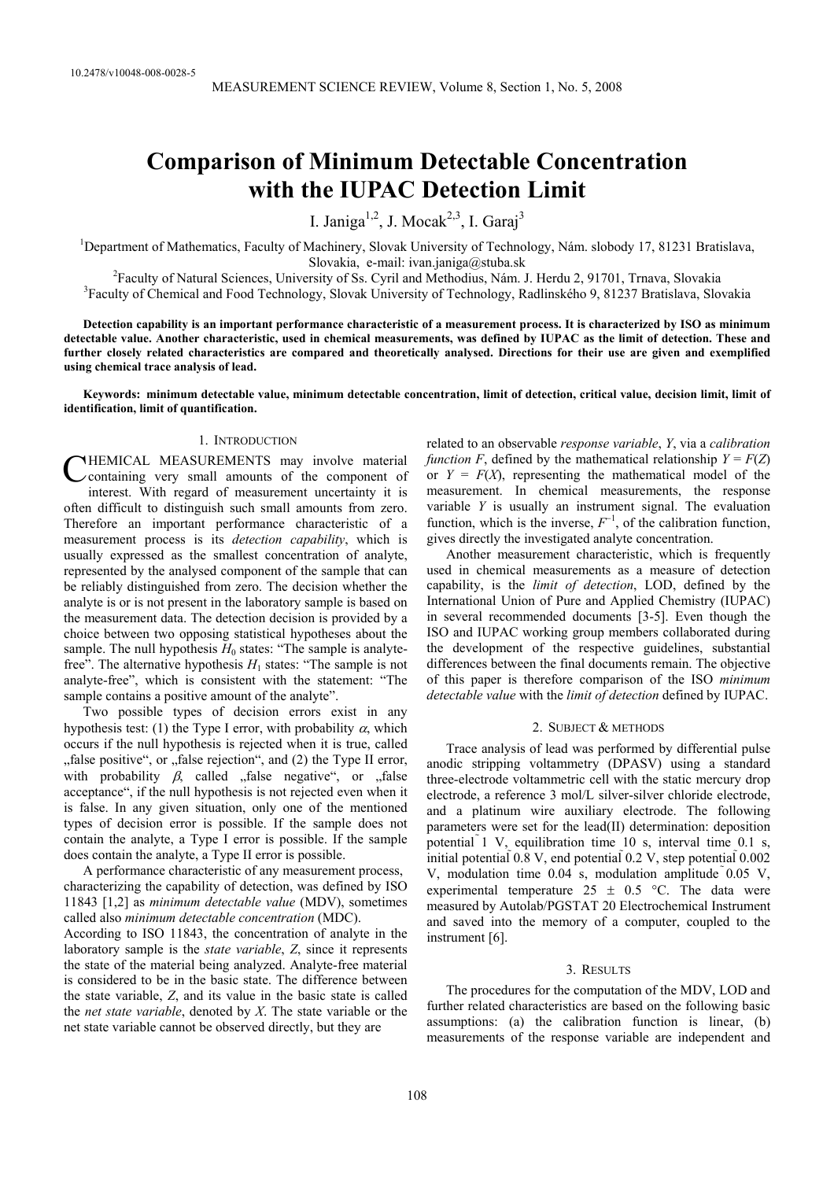# **Comparison of Minimum Detectable Concentration with the IUPAC Detection Limit**

I. Janiga<sup>1,2</sup>, J. Mocak<sup>2,3</sup>, I. Garaj<sup>3</sup>

<sup>1</sup>Department of Mathematics, Faculty of Machinery, Slovak University of Technology, Nám. slobody 17, 81231 Bratislava, Slovakia, e-mail: ivan.janiga@stuba.sk<br><sup>2</sup>Easylty of Natural Sciences, University of Se. Guril and Methodius, Ném. 1

<sup>2</sup>Faculty of Natural Sciences, University of Ss. Cyril and Methodius, Nám. J. Herdu 2, 91701, Trnava, Slovakia <sup>3</sup>Faculty of Chamical and East Teahnalogy. Slovakia Iniversity of Teahnalogy. Bedlingkého 0, 81237 Pratislav <sup>3</sup>Faculty of Chemical and Food Technology, Slovak University of Technology, Radlinského 9, 81237 Bratislava, Slovakia

**Detection capability is an important performance characteristic of a measurement process. It is characterized by ISO as minimum detectable value. Another characteristic, used in chemical measurements, was defined by IUPAC as the limit of detection. These and further closely related characteristics are compared and theoretically analysed. Directions for their use are given and exemplified using chemical trace analysis of lead.** 

**Keywords: minimum detectable value, minimum detectable concentration, limit of detection, critical value, decision limit, limit of identification, limit of quantification.** 

## 1. INTRODUCTION

HEMICAL MEASUREMENTS may involve material containing very small amounts of the component of interest. With regard of measurement uncertainty it is often difficult to distinguish such small amounts from zero. Therefore an important performance characteristic of a measurement process is its *detection capability*, which is usually expressed as the smallest concentration of analyte, represented by the analysed component of the sample that can be reliably distinguished from zero. The decision whether the analyte is or is not present in the laboratory sample is based on the measurement data. The detection decision is provided by a choice between two opposing statistical hypotheses about the sample. The null hypothesis  $H_0$  states: "The sample is analytefree". The alternative hypothesis  $H_1$  states: "The sample is not analyte-free", which is consistent with the statement: "The sample contains a positive amount of the analyte". C

Two possible types of decision errors exist in any hypothesis test: (1) the Type I error, with probability  $\alpha$ , which occurs if the null hypothesis is rejected when it is true, called "false positive", or "false rejection", and (2) the Type II error, with probability  $\beta$ , called  $\eta$  false negative", or  $\eta$  false acceptance", if the null hypothesis is not rejected even when it is false. In any given situation, only one of the mentioned types of decision error is possible. If the sample does not contain the analyte, a Type I error is possible. If the sample does contain the analyte, a Type II error is possible.

A performance characteristic of any measurement process, characterizing the capability of detection, was defined by ISO 11843 [1,2] as *minimum detectable value* (MDV), sometimes called also *minimum detectable concentration* (MDC). According to ISO 11843, the concentration of analyte in the laboratory sample is the *state variable*, *Z*, since it represents the state of the material being analyzed. Analyte-free material is considered to be in the basic state. The difference between the state variable, *Z*, and its value in the basic state is called the *net state variable*, denoted by *X*. The state variable or the net state variable cannot be observed directly, but they are

related to an observable *response variable*, *Y*, via a *calibration function F*, defined by the mathematical relationship  $Y = F(Z)$ or  $Y = F(X)$ , representing the mathematical model of the measurement. In chemical measurements, the response variable *Y* is usually an instrument signal. The evaluation function, which is the inverse,  $F^{-1}$ , of the calibration function, gives directly the investigated analyte concentration.

Another measurement characteristic, which is frequently used in chemical measurements as a measure of detection capability, is the *limit of detection*, LOD, defined by the International Union of Pure and Applied Chemistry (IUPAC) in several recommended documents [3-5]. Even though the ISO and IUPAC working group members collaborated during the development of the respective guidelines, substantial differences between the final documents remain. The objective of this paper is therefore comparison of the ISO *minimum detectable value* with the *limit of detection* defined by IUPAC.

#### 2. SUBJECT & METHODS

Trace analysis of lead was performed by differential pulse anodic stripping voltammetry (DPASV) using a standard three-electrode voltammetric cell with the static mercury drop electrode, a reference 3 mol/L silver-silver chloride electrode, and a platinum wire auxiliary electrode. The following parameters were set for the lead(II) determination: deposition potential 1 V, equilibration time 10 s, interval time 0.1 s, initial potential  $0.8$  V, end potential  $0.2$  V, step potential  $0.002$ V, modulation time  $0.04$  s, modulation amplitude  $0.05$  V, experimental temperature  $25 \pm 0.5$  °C. The data were measured by Autolab/PGSTAT 20 Electrochemical Instrument and saved into the memory of a computer, coupled to the instrument [6].

#### 3. RESULTS

The procedures for the computation of the MDV, LOD and further related characteristics are based on the following basic assumptions: (a) the calibration function is linear, (b) measurements of the response variable are independent and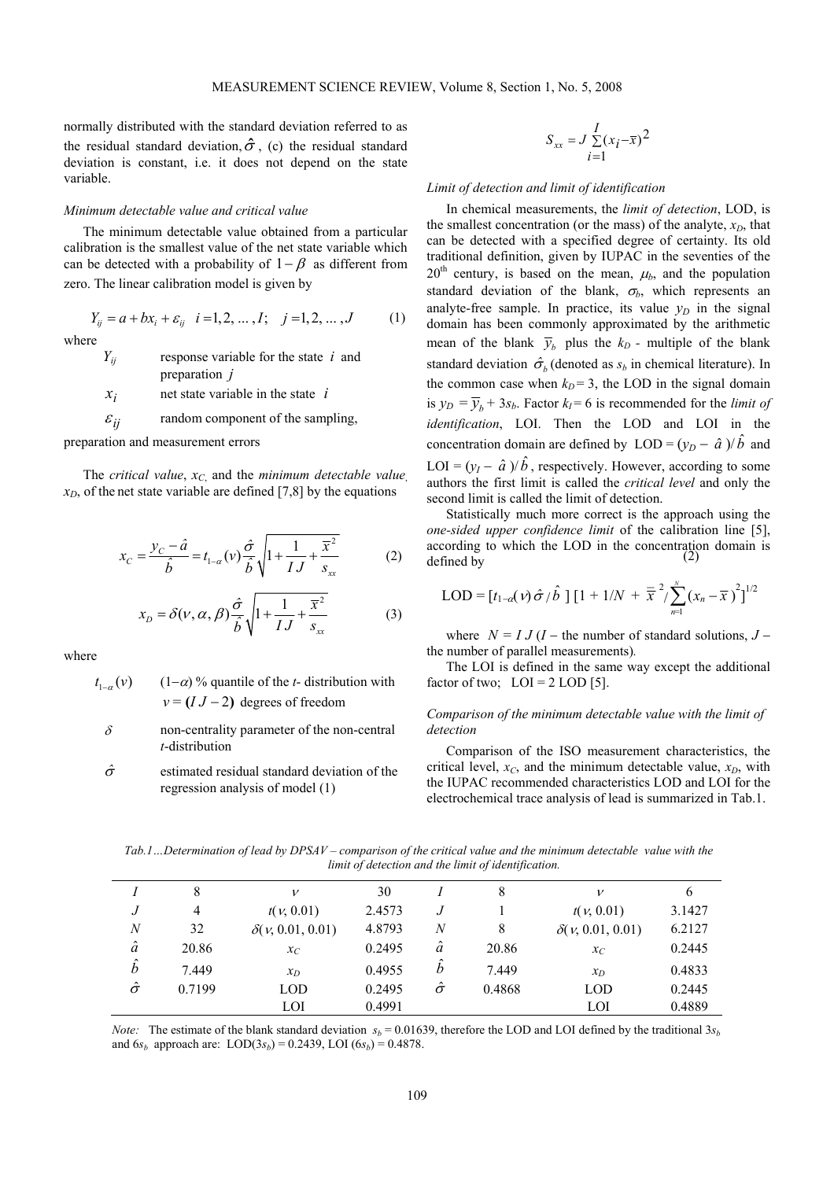normally distributed with the standard deviation referred to as the residual standard deviation,  $\hat{\sigma}$ , (c) the residual standard deviation is constant, i.e. it does not depend on the state variable.

### *Minimum detectable value and critical value*

The minimum detectable value obtained from a particular calibration is the smallest value of the net state variable which can be detected with a probability of  $1 - \beta$  as different from zero. The linear calibration model is given by

 $Y_{ij} = a + bx_i + \varepsilon_{ij}$   $i = 1, 2, ..., I;$   $j = 1, 2, ..., J$  (1) where

> *Yij* response variable for the state *i* and preparation *j*

 $x_i$  net state variable in the state *i* 

 $\varepsilon_{ij}$  random component of the sampling,

preparation and measurement errors

The *critical value*,  $x_C$  and the *minimum detectable value*,  $x_D$ , of the net state variable are defined [7,8] by the equations

$$
x_C = \frac{y_C - \hat{a}}{\hat{b}} = t_{1-\alpha}(v)\frac{\hat{\sigma}}{\hat{b}}\sqrt{1 + \frac{1}{IJ} + \frac{\overline{x}^2}{s_{xx}}}
$$
(2)

$$
x_D = \delta(\nu, \alpha, \beta) \frac{\hat{\sigma}}{\hat{b}} \sqrt{1 + \frac{1}{IJ} + \frac{\overline{x}^2}{s_{xx}}}
$$
 (3)

where

 $t_{1-\alpha}(v)$  $(1-\alpha)$ % quantile of the *t*- distribution with  $v = (I J - 2)$  degrees of freedom

- $\delta$  non-centrality parameter of the non-central *t*-distribution
- $\hat{\sigma}$  estimated residual standard deviation of the regression analysis of model (1)

$$
S_{xx} = J \sum_{i=1}^{I} (x_i - \overline{x})^2
$$

#### *Limit of detection and limit of identification*

In chemical measurements, the *limit of detection*, LOD, is the smallest concentration (or the mass) of the analyte,  $x_D$ , that can be detected with a specified degree of certainty. Its old traditional definition, given by IUPAC in the seventies of the  $20<sup>th</sup>$  century, is based on the mean,  $\mu_b$ , and the population standard deviation of the blank,  $\sigma_b$ , which represents an analyte-free sample. In practice, its value  $y_D$  in the signal domain has been commonly approximated by the arithmetic mean of the blank  $\overline{y}_b$  plus the  $k_D$  - multiple of the blank standard deviation  $\hat{\sigma}_b$  (denoted as  $s_b$  in chemical literature). In the common case when  $k_D = 3$ , the LOD in the signal domain is  $y_D = \overline{y}_h + 3s_b$ . Factor  $k_l = 6$  is recommended for the *limit of identification*, LOI. Then the LOD and LOI in the concentration domain are defined by  $LOD = (y_D - \hat{a})/\hat{b}$  and LOI =  $(y_l - \hat{a})/\hat{b}$ , respectively. However, according to some authors the first limit is called the *critical level* and only the second limit is called the limit of detection.

 $=\frac{y_c-\hat{a}}{z}=t_{1-\alpha}(v)\frac{\hat{\sigma}}{z}\sqrt{1+\frac{1}{z-1}+\frac{\overline{x}^2}{z}}$  (2) according to which the LOD in the concentration domain is Statistically much more correct is the approach using the *one-sided upper confidence limit* of the calibration line [5], defined by

$$
LOD = [t_{1-\alpha}(v) \hat{\sigma} / \hat{b}] [1 + 1/N + \bar{\overline{x}}^{2} / \sum_{n=1}^{N} (x_{n} - \bar{x})^{2}]^{1/2}
$$

where  $N = I J (I -$  the number of standard solutions,  $J$ the number of parallel measurements)*.*

The LOI is defined in the same way except the additional factor of two;  $LOI = 2$  LOD [5].

## *Comparison of the minimum detectable value with the limit of detection*

Comparison of the ISO measurement characteristics, the critical level,  $x_C$ , and the minimum detectable value,  $x_D$ , with the IUPAC recommended characteristics LOD and LOI for the electrochemical trace analysis of lead is summarized in Tab.1.

*Tab.1…Determination of lead by DPSAV – comparison of the critical value and the minimum detectable value with the limit of detection and the limit of identification.* 

|                  | 8      | ν                       | 30     |                       | 8      | ν                       | 6      |
|------------------|--------|-------------------------|--------|-----------------------|--------|-------------------------|--------|
|                  | 4      | t(v, 0.01)              | 2.4573 |                       |        | t(v, 0.01)              | 3.1427 |
| $\boldsymbol{N}$ | 32     | $\delta(v, 0.01, 0.01)$ | 4.8793 | N                     | 8      | $\delta(v, 0.01, 0.01)$ | 6.2127 |
| $\hat{a}$        | 20.86  | $x_C$                   | 0.2495 | â                     | 20.86  | $x_C$                   | 0.2445 |
| $\hat{b}$        | 7.449  | $x_D$                   | 0.4955 | ^<br>$\boldsymbol{b}$ | 7.449  | $x_D$                   | 0.4833 |
| $\hat{\sigma}$   | 0.7199 | <b>LOD</b>              | 0.2495 | $\hat{\sigma}$        | 0.4868 | <b>LOD</b>              | 0.2445 |
|                  |        | LOI                     | 0.4991 |                       |        | LOI                     | 0.4889 |

*Note:* The estimate of the blank standard deviation  $s_b = 0.01639$ , therefore the LOD and LOI defined by the traditional  $3s_b$ and  $6s_b$  approach are:  $\text{LOD}(3s_b) = 0.2439, \text{LOI}(6s_b) = 0.4878.$